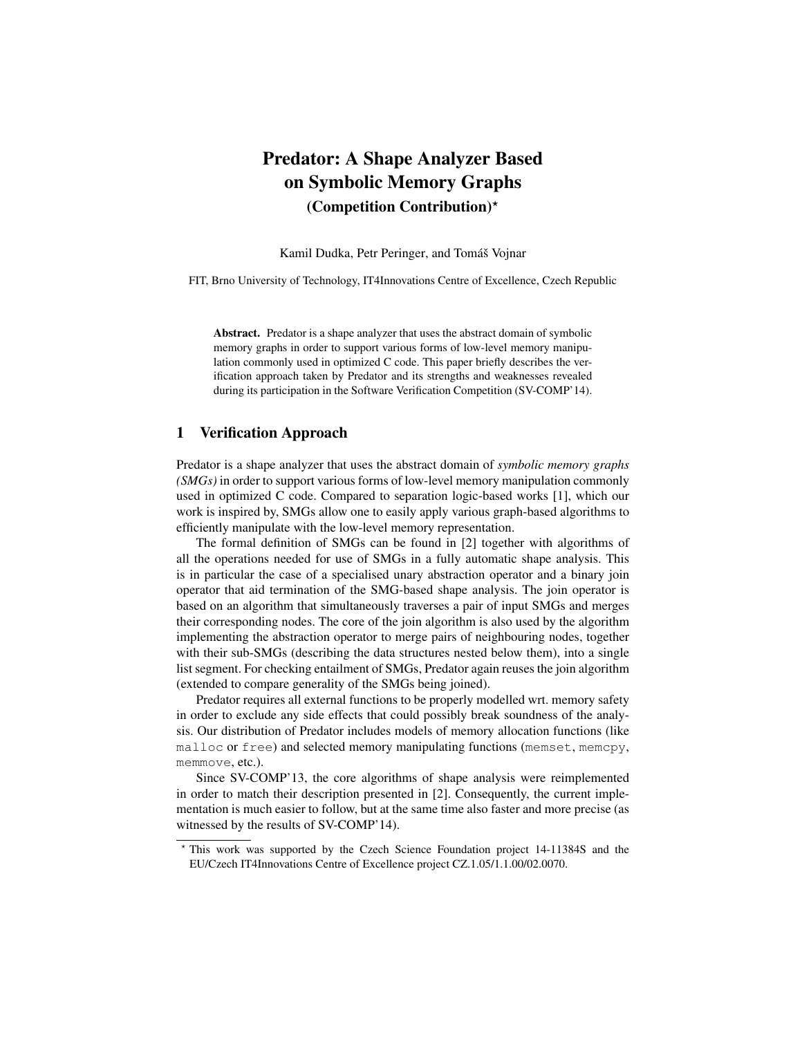# Predator: A Shape Analyzer Based on Symbolic Memory Graphs (Competition Contribution)?

Kamil Dudka, Petr Peringer, and Tomáš Vojnar

FIT, Brno University of Technology, IT4Innovations Centre of Excellence, Czech Republic

Abstract. Predator is a shape analyzer that uses the abstract domain of symbolic memory graphs in order to support various forms of low-level memory manipulation commonly used in optimized C code. This paper briefly describes the verification approach taken by Predator and its strengths and weaknesses revealed during its participation in the Software Verification Competition (SV-COMP'14).

#### 1 Verification Approach

Predator is a shape analyzer that uses the abstract domain of *symbolic memory graphs (SMGs)* in order to support various forms of low-level memory manipulation commonly used in optimized C code. Compared to separation logic-based works [1], which our work is inspired by, SMGs allow one to easily apply various graph-based algorithms to efficiently manipulate with the low-level memory representation.

The formal definition of SMGs can be found in [2] together with algorithms of all the operations needed for use of SMGs in a fully automatic shape analysis. This is in particular the case of a specialised unary abstraction operator and a binary join operator that aid termination of the SMG-based shape analysis. The join operator is based on an algorithm that simultaneously traverses a pair of input SMGs and merges their corresponding nodes. The core of the join algorithm is also used by the algorithm implementing the abstraction operator to merge pairs of neighbouring nodes, together with their sub-SMGs (describing the data structures nested below them), into a single list segment. For checking entailment of SMGs, Predator again reuses the join algorithm (extended to compare generality of the SMGs being joined).

Predator requires all external functions to be properly modelled wrt. memory safety in order to exclude any side effects that could possibly break soundness of the analysis. Our distribution of Predator includes models of memory allocation functions (like malloc or free) and selected memory manipulating functions (memset, memcpy, memmove, etc.).

Since SV-COMP'13, the core algorithms of shape analysis were reimplemented in order to match their description presented in [2]. Consequently, the current implementation is much easier to follow, but at the same time also faster and more precise (as witnessed by the results of SV-COMP'14).

<sup>?</sup> This work was supported by the Czech Science Foundation project 14-11384S and the EU/Czech IT4Innovations Centre of Excellence project CZ.1.05/1.1.00/02.0070.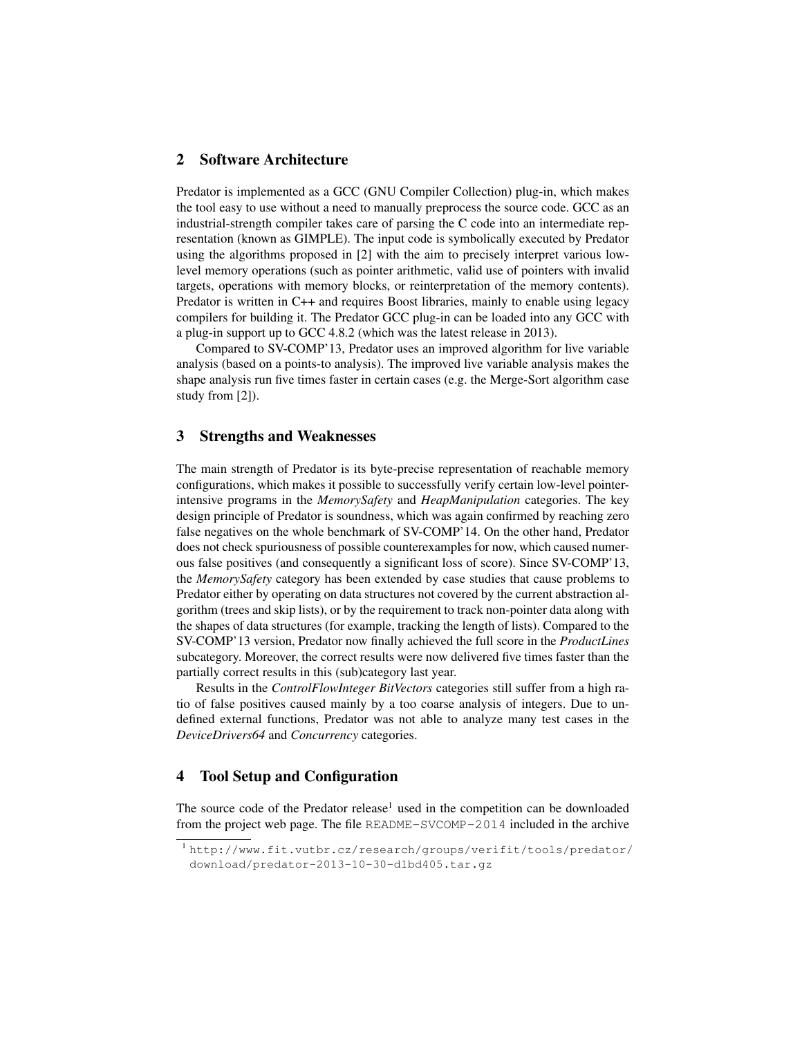### 2 Software Architecture

Predator is implemented as a GCC (GNU Compiler Collection) plug-in, which makes the tool easy to use without a need to manually preprocess the source code. GCC as an industrial-strength compiler takes care of parsing the C code into an intermediate representation (known as GIMPLE). The input code is symbolically executed by Predator using the algorithms proposed in [2] with the aim to precisely interpret various lowlevel memory operations (such as pointer arithmetic, valid use of pointers with invalid targets, operations with memory blocks, or reinterpretation of the memory contents). Predator is written in C++ and requires Boost libraries, mainly to enable using legacy compilers for building it. The Predator GCC plug-in can be loaded into any GCC with a plug-in support up to GCC 4.8.2 (which was the latest release in 2013).

Compared to SV-COMP'13, Predator uses an improved algorithm for live variable analysis (based on a points-to analysis). The improved live variable analysis makes the shape analysis run five times faster in certain cases (e.g. the Merge-Sort algorithm case study from [2]).

#### 3 Strengths and Weaknesses

The main strength of Predator is its byte-precise representation of reachable memory configurations, which makes it possible to successfully verify certain low-level pointerintensive programs in the *MemorySafety* and *HeapManipulation* categories. The key design principle of Predator is soundness, which was again confirmed by reaching zero false negatives on the whole benchmark of SV-COMP'14. On the other hand, Predator does not check spuriousness of possible counterexamples for now, which caused numerous false positives (and consequently a significant loss of score). Since SV-COMP'13, the *MemorySafety* category has been extended by case studies that cause problems to Predator either by operating on data structures not covered by the current abstraction algorithm (trees and skip lists), or by the requirement to track non-pointer data along with the shapes of data structures (for example, tracking the length of lists). Compared to the SV-COMP'13 version, Predator now finally achieved the full score in the *ProductLines* subcategory. Moreover, the correct results were now delivered five times faster than the partially correct results in this (sub)category last year.

Results in the *ControlFlowInteger BitVectors* categories still suffer from a high ratio of false positives caused mainly by a too coarse analysis of integers. Due to undefined external functions, Predator was not able to analyze many test cases in the *DeviceDrivers64* and *Concurrency* categories.

#### 4 Tool Setup and Configuration

The source code of the Predator release<sup>1</sup> used in the competition can be downloaded from the project web page. The file README-SVCOMP-2014 included in the archive

<sup>1</sup> http://www.fit.vutbr.cz/research/groups/verifit/tools/predator/ download/predator-2013-10-30-d1bd405.tar.gz